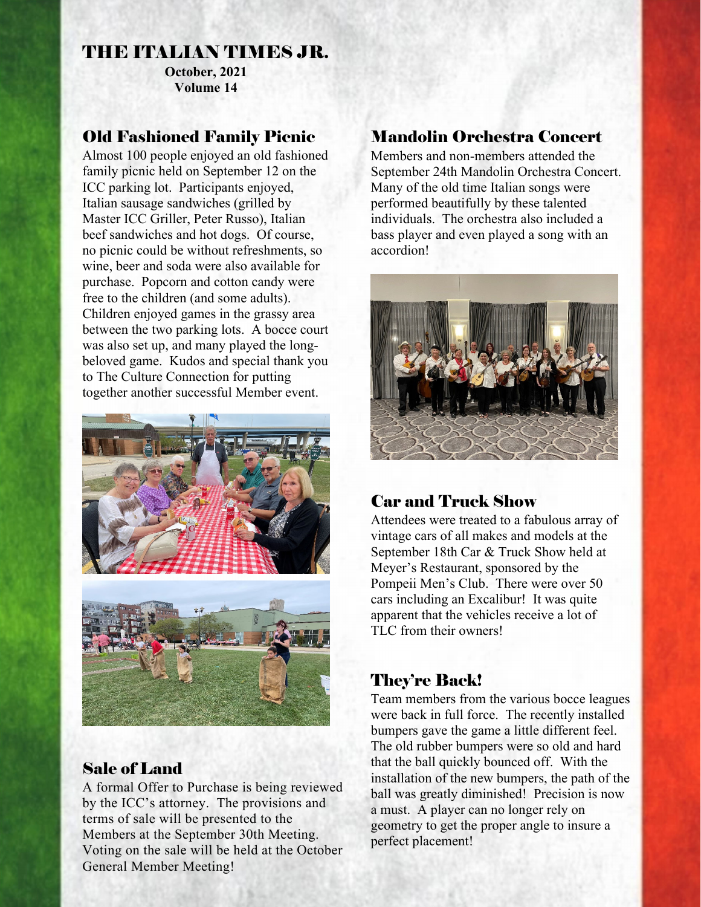# THE ITALIAN TIMES JR.

**October, 2021 Volume 14** 

#### Old Fashioned Family Picnic

Almost 100 people enjoyed an old fashioned family picnic held on September 12 on the ICC parking lot. Participants enjoyed, Italian sausage sandwiches (grilled by Master ICC Griller, Peter Russo), Italian beef sandwiches and hot dogs. Of course, no picnic could be without refreshments, so wine, beer and soda were also available for purchase. Popcorn and cotton candy were free to the children (and some adults). Children enjoyed games in the grassy area between the two parking lots. A bocce court was also set up, and many played the longbeloved game. Kudos and special thank you to The Culture Connection for putting together another successful Member event.



# Sale of Land

A formal Offer to Purchase is being reviewed by the ICC's attorney. The provisions and terms of sale will be presented to the Members at the September 30th Meeting. Voting on the sale will be held at the October General Member Meeting!

# Mandolin Orchestra Concert

Members and non-members attended the September 24th Mandolin Orchestra Concert. Many of the old time Italian songs were performed beautifully by these talented individuals. The orchestra also included a bass player and even played a song with an accordion!



# Car and Truck Show

Attendees were treated to a fabulous array of vintage cars of all makes and models at the September 18th Car & Truck Show held at Meyer's Restaurant, sponsored by the Pompeii Men's Club. There were over 50 cars including an Excalibur! It was quite apparent that the vehicles receive a lot of TLC from their owners!

# They're Back!

Team members from the various bocce leagues were back in full force. The recently installed bumpers gave the game a little different feel. The old rubber bumpers were so old and hard that the ball quickly bounced off. With the installation of the new bumpers, the path of the ball was greatly diminished! Precision is now a must. A player can no longer rely on geometry to get the proper angle to insure a perfect placement!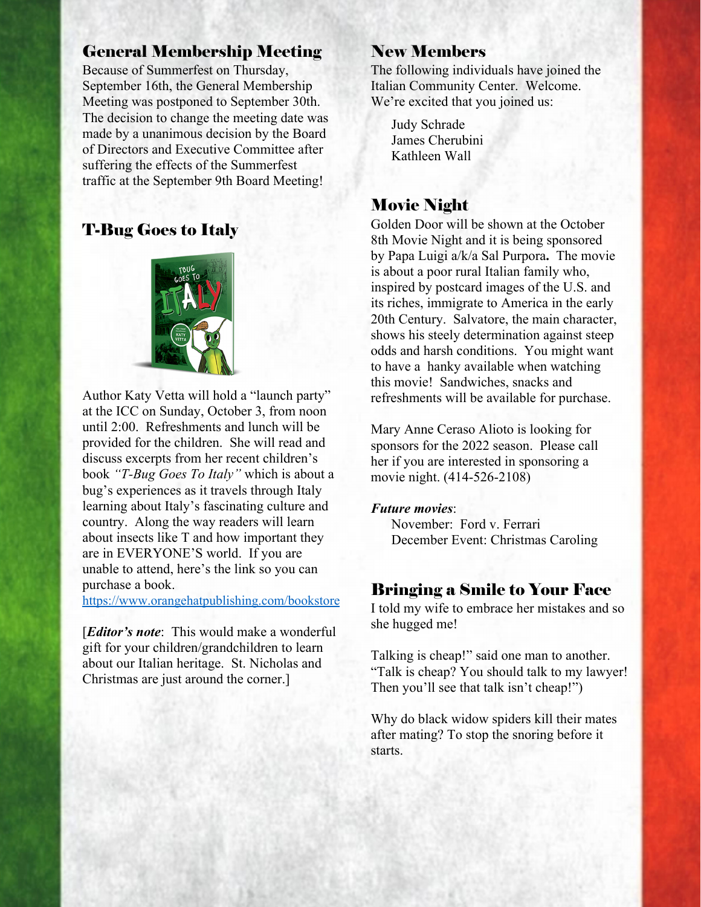# General Membership Meeting

Because of Summerfest on Thursday, September 16th, the General Membership Meeting was postponed to September 30th. The decision to change the meeting date was made by a unanimous decision by the Board of Directors and Executive Committee after suffering the effects of the Summerfest traffic at the September 9th Board Meeting!

# T-Bug Goes to Italy



Author Katy Vetta will hold a "launch party" at the ICC on Sunday, October 3, from noon until 2:00. Refreshments and lunch will be provided for the children. She will read and discuss excerpts from her recent children's book *"T-Bug Goes To Italy"* which is about a bug's experiences as it travels through Italy learning about Italy's fascinating culture and country. Along the way readers will learn about insects like T and how important they are in EVERYONE'S world. If you are unable to attend, here's the link so you can purchase a book.

https://www.orangehatpublishing.com/bookstore

[*Editor's note*: This would make a wonderful gift for your children/grandchildren to learn about our Italian heritage. St. Nicholas and Christmas are just around the corner.]

#### New Members

The following individuals have joined the Italian Community Center. Welcome. We're excited that you joined us:

Judy Schrade James Cherubini Kathleen Wall

# Movie Night

Golden Door will be shown at the October 8th Movie Night and it is being sponsored by Papa Luigi a/k/a Sal Purpora**.** The movie is about a poor rural Italian family who, inspired by postcard images of the U.S. and its riches, immigrate to America in the early 20th Century. Salvatore, the main character, shows his steely determination against steep odds and harsh conditions. You might want to have a hanky available when watching this movie! Sandwiches, snacks and refreshments will be available for purchase.

Mary Anne Ceraso Alioto is looking for sponsors for the 2022 season. Please call her if you are interested in sponsoring a movie night. (414-526-2108)

#### *Future movies*:

November: Ford v. Ferrari December Event: Christmas Caroling

#### Bringing a Smile to Your Face

I told my wife to embrace her mistakes and so she hugged me!

Talking is cheap!" said one man to another. "Talk is cheap? You should talk to my lawyer! Then you'll see that talk isn't cheap!")

Why do black widow spiders kill their mates after mating? To stop the snoring before it starts.